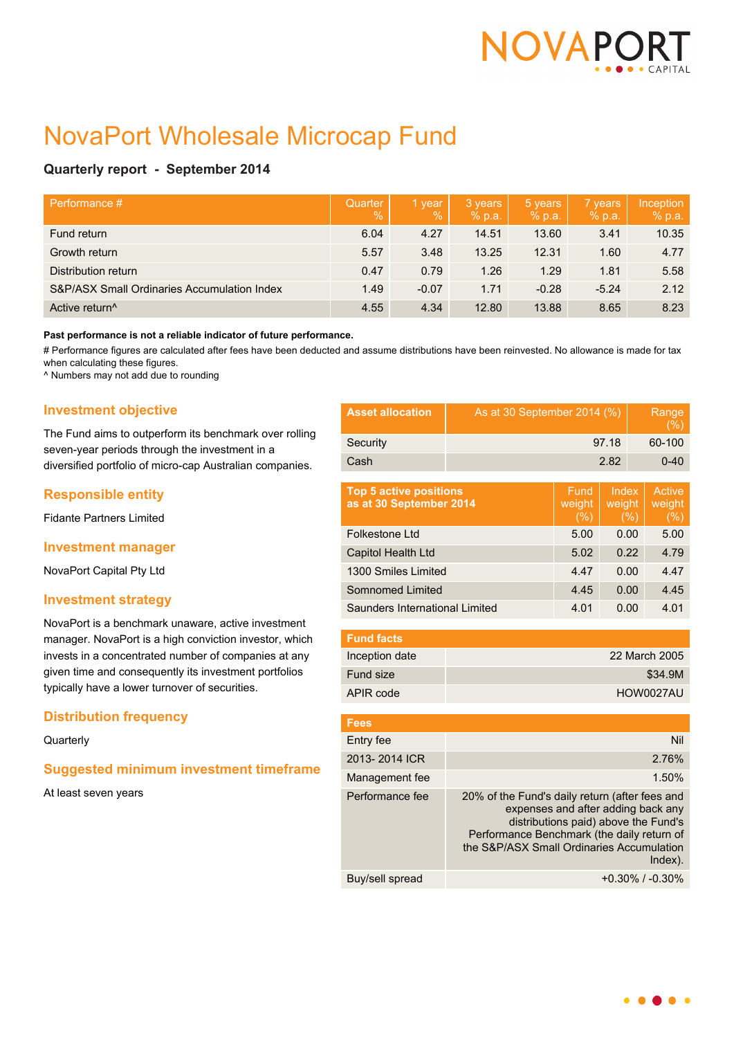

# NovaPort Wholesale Microcap Fund

# **Quarterly report - September 2014**

| Performance #                               | Quarter<br>$\%$ | 1 year<br>$\%$ | 3 years<br>% p.a. | 5 years<br>% p.a. | 7 years<br>% p.a. | Inception<br>% p.a. |
|---------------------------------------------|-----------------|----------------|-------------------|-------------------|-------------------|---------------------|
| Fund return                                 | 6.04            | 4.27           | 14.51             | 13.60             | 3.41              | 10.35               |
| Growth return                               | 5.57            | 3.48           | 13.25             | 12.31             | 1.60              | 4.77                |
| Distribution return                         | 0.47            | 0.79           | 1.26              | 1.29              | 1.81              | 5.58                |
| S&P/ASX Small Ordinaries Accumulation Index | 1.49            | $-0.07$        | 1.71              | $-0.28$           | $-5.24$           | 2.12                |
| Active return <sup>^</sup>                  | 4.55            | 4.34           | 12.80             | 13.88             | 8.65              | 8.23                |

#### **Past performance is not a reliable indicator of future performance.**

# Performance figures are calculated after fees have been deducted and assume distributions have been reinvested. No allowance is made for tax when calculating these figures.

^ Numbers may not add due to rounding

# **Investment objective**

The Fund aims to outperform its benchmark over rolling seven-year periods through the investment in a diversified portfolio of micro-cap Australian companies.

# **Responsible entity**

Fidante Partners Limited

### **Investment manager**

NovaPort Capital Pty Ltd

### **Investment strategy**

NovaPort is a benchmark unaware, active investment manager. NovaPort is a high conviction investor, which invests in a concentrated number of companies at any given time and consequently its investment portfolios typically have a lower turnover of securities.

# **Distribution frequency**

#### **Quarterly**

# **Suggested minimum investment timeframe**

At least seven years

| <b>Asset allocation</b>                                  | As at 30 September 2014 (%)                                                                                                                                                |                       |                         | Range<br>$(\%)$ |                                |
|----------------------------------------------------------|----------------------------------------------------------------------------------------------------------------------------------------------------------------------------|-----------------------|-------------------------|-----------------|--------------------------------|
| Security                                                 | 97.18                                                                                                                                                                      |                       |                         | 60-100          |                                |
| Cash                                                     | 2.82                                                                                                                                                                       |                       |                         | $0 - 40$        |                                |
|                                                          |                                                                                                                                                                            |                       |                         |                 |                                |
| <b>Top 5 active positions</b><br>as at 30 September 2014 |                                                                                                                                                                            | Fund<br>weight<br>(%) | Index<br>weight<br>(% ) |                 | <b>Active</b><br>weight<br>(%) |
| Folkestone I td                                          |                                                                                                                                                                            | 5.00                  | 0.00                    |                 | 5.00                           |
| Capitol Health Ltd                                       |                                                                                                                                                                            | 5.02                  | 0.22                    |                 | 4.79                           |
| 1300 Smiles Limited                                      |                                                                                                                                                                            | 4.47                  | 0.00                    |                 | 4.47                           |
| Somnomed Limited                                         |                                                                                                                                                                            |                       | 0.00                    |                 | 4.45                           |
| Saunders International Limited                           |                                                                                                                                                                            | 4.01                  | 0.00                    |                 | 4.01                           |
| <b>Fund facts</b>                                        |                                                                                                                                                                            |                       |                         |                 |                                |
| Inception date                                           | 22 March 2005                                                                                                                                                              |                       |                         |                 |                                |
| Fund size                                                | \$34.9M                                                                                                                                                                    |                       |                         |                 |                                |
| APIR code                                                | HOW0027AU                                                                                                                                                                  |                       |                         |                 |                                |
|                                                          |                                                                                                                                                                            |                       |                         |                 |                                |
| <b>Fees</b>                                              |                                                                                                                                                                            |                       |                         |                 |                                |
| Entry fee                                                | Nil                                                                                                                                                                        |                       |                         |                 |                                |
| 2013-2014 ICR                                            | 2.76%                                                                                                                                                                      |                       |                         |                 |                                |
| Management fee                                           | 1.50%                                                                                                                                                                      |                       |                         |                 |                                |
| Performance fee                                          | 20% of the Fund's daily return (after fees and<br>expenses and after adding back any<br>distributions paid) above the Fund's<br>Performance Benchmark (the daily return of |                       |                         |                 |                                |

|                 | the S&P/ASX Small Ordinaries Accumulation<br>$Index$ ). |
|-----------------|---------------------------------------------------------|
| Buy/sell spread | $+0.30\%$ / $-0.30\%$                                   |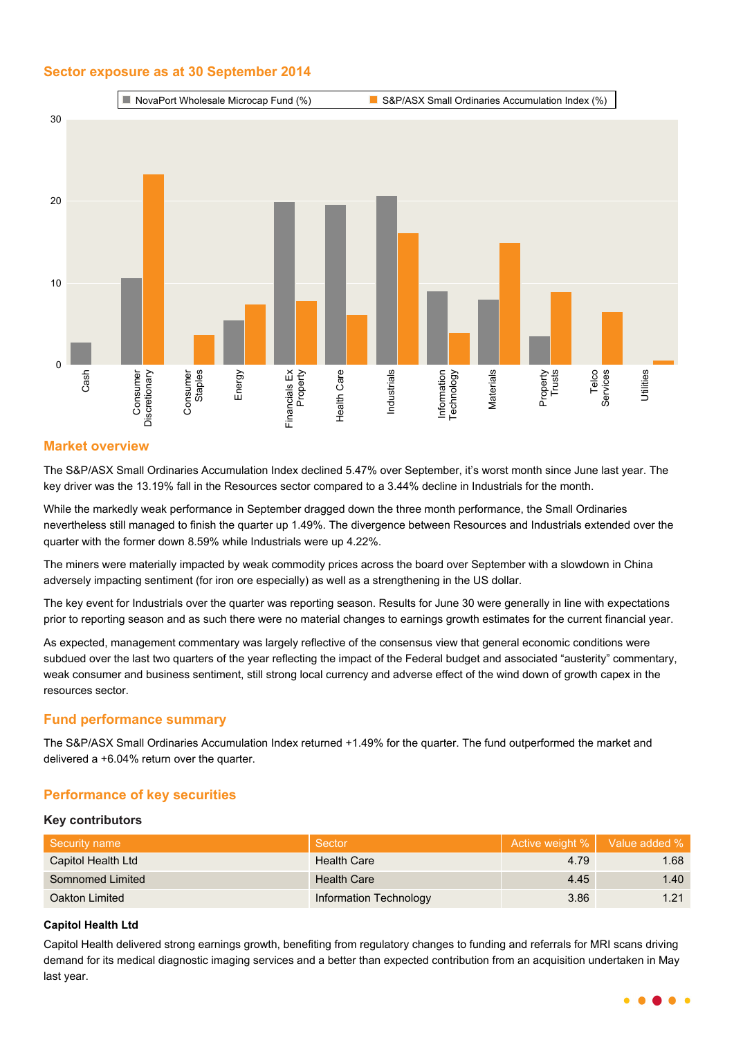# **Sector exposure as at 30 September 2014**



# **Market overview**

The S&P/ASX Small Ordinaries Accumulation Index declined 5.47% over September, it's worst month since June last year. The key driver was the 13.19% fall in the Resources sector compared to a 3.44% decline in Industrials for the month.

While the markedly weak performance in September dragged down the three month performance, the Small Ordinaries nevertheless still managed to finish the quarter up 1.49%. The divergence between Resources and Industrials extended over the quarter with the former down 8.59% while Industrials were up 4.22%.

The miners were materially impacted by weak commodity prices across the board over September with a slowdown in China adversely impacting sentiment (for iron ore especially) as well as a strengthening in the US dollar.

The key event for Industrials over the quarter was reporting season. Results for June 30 were generally in line with expectations prior to reporting season and as such there were no material changes to earnings growth estimates for the current financial year.

As expected, management commentary was largely reflective of the consensus view that general economic conditions were subdued over the last two quarters of the year reflecting the impact of the Federal budget and associated "austerity" commentary, weak consumer and business sentiment, still strong local currency and adverse effect of the wind down of growth capex in the resources sector.

# **Fund performance summary**

The S&P/ASX Small Ordinaries Accumulation Index returned +1.49% for the quarter. The fund outperformed the market and delivered a +6.04% return over the quarter.

# **Performance of key securities**

### **Key contributors**

| Security name      | Sector                 | Active weight %   Value added % |      |
|--------------------|------------------------|---------------------------------|------|
| Capitol Health Ltd | <b>Health Care</b>     | 4.79                            | 1.68 |
| Somnomed Limited   | <b>Health Care</b>     | 4.45                            | 1.40 |
| Oakton Limited     | Information Technology | 3.86                            | 1.21 |

### **Capitol Health Ltd**

Capitol Health delivered strong earnings growth, benefiting from regulatory changes to funding and referrals for MRI scans driving demand for its medical diagnostic imaging services and a better than expected contribution from an acquisition undertaken in May last year.